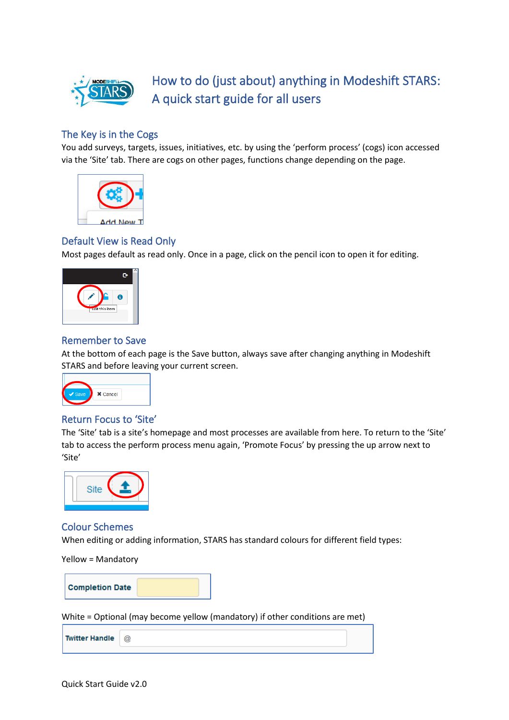

# How to do (just about) anything in Modeshift STARS: A quick start guide for all users

## The Key is in the Cogs

You add surveys, targets, issues, initiatives, etc. by using the 'perform process' (cogs) icon accessed via the 'Site' tab. There are cogs on other pages, functions change depending on the page.



## Default View is Read Only

Most pages default as read only. Once in a page, click on the pencil icon to open it for editing.



## Remember to Save

At the bottom of each page is the Save button, always save after changing anything in Modeshift STARS and before leaving your current screen.



# Return Focus to 'Site'

The 'Site' tab is a site's homepage and most processes are available from here. To return to the 'Site' tab to access the perform process menu again, 'Promote Focus' by pressing the up arrow next to 'Site'



#### Colour Schemes

When editing or adding information, STARS has standard colours for different field types:

Yellow = Mandatory



White = Optional (may become yellow (mandatory) if other conditions are met)

| <b>Twitter Handle</b> | @ |  |
|-----------------------|---|--|
|                       |   |  |